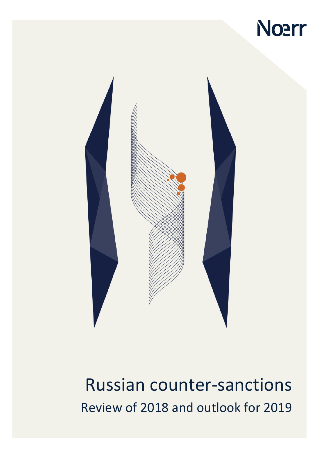



Russian counter-sanctions Review of 2018 and outlook for 2019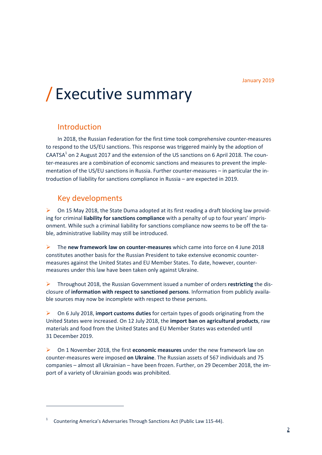# / Executive summary

### Introduction

In 2018, the Russian Federation for the first time took comprehensive counter-measures to respond to the US/EU sanctions. This response was triggered mainly by the adoption of CAATSA<sup>[1](#page-1-0)</sup> on 2 August 2017 and the extension of the US sanctions on 6 April 2018. The counter-measures are a combination of economic sanctions and measures to prevent the implementation of the US/EU sanctions in Russia. Further counter-measures – in particular the introduction of liability for sanctions compliance in Russia – are expected in 2019.

### Key developments

 On 15 May 2018, the State Duma adopted at its first reading a draft blocking law providing for criminal **liability for sanctions compliance** with a penalty of up to four years' imprisonment. While such a criminal liability for sanctions compliance now seems to be off the table, administrative liability may still be introduced.

 The **new framework law on counter-measures** which came into force on 4 June 2018 constitutes another basis for the Russian President to take extensive economic countermeasures against the United States and EU Member States. To date, however, countermeasures under this law have been taken only against Ukraine.

 Throughout 2018, the Russian Government issued a number of orders **restricting** the disclosure of **information with respect to sanctioned persons**. Information from publicly available sources may now be incomplete with respect to these persons.

 On 6 July 2018, **import customs duties** for certain types of goods originating from the United States were increased. On 12 July 2018, the **import ban on agricultural products**, raw materials and food from the United States and EU Member States was extended until 31 December 2019.

 On 1 November 2018, the first **economic measures** under the new framework law on counter-measures were imposed **on Ukraine**. The Russian assets of 567 individuals and 75 companies – almost all Ukrainian – have been frozen. Further, on 29 December 2018, the import of a variety of Ukrainian goods was prohibited.

<span id="page-1-0"></span><sup>1</sup> Countering America's Adversaries Through Sanctions Act (Public Law 115-44).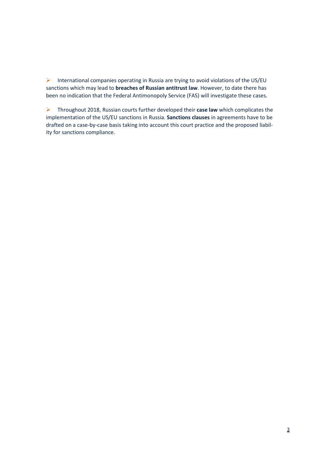International companies operating in Russia are trying to avoid violations of the US/EU sanctions which may lead to **breaches of Russian antitrust law**. However, to date there has been no indication that the Federal Antimonopoly Service (FAS) will investigate these cases.

 Throughout 2018, Russian courts further developed their **case law** which complicates the implementation of the US/EU sanctions in Russia. **Sanctions clauses** in agreements have to be drafted on a case-by-case basis taking into account this court practice and the proposed liability for sanctions compliance.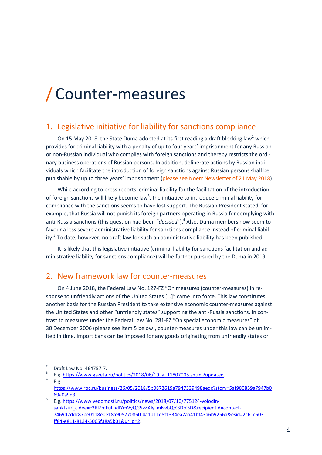# / Counter-measures

#### <span id="page-3-5"></span>1. Legislative initiative for liability for sanctions compliance

On 15 May 2018, the State Duma adopted at its first reading a draft blocking law<sup>2</sup> [w](#page-3-0)hich provides for criminal liability with a penalty of up to four years' imprisonment for any Russian or non-Russian individual who complies with foreign sanctions and thereby restricts the ordinary business operations of Russian persons. In addition, deliberate actions by Russian individuals which facilitate the introduction of foreign sanctions against Russian persons shall be punishable by up to three years' imprisonment ([please see Noerr Newsletter of 21 May 2018\)](https://www.noerr.com/en/newsroom/News/russia%E2%80%99s-proposed-response-to-us-sanctions-%E2%80%93-criminal-liability-for-sanctions-compliance-and-counter-sanctions.aspx).

While according to press reports, criminal liability for the facilitation of the introduction of foreign sanctions will likely become law<sup>[3](#page-3-1)</sup>, the initiative to introduce criminal liability for compliance with the sanctions seems to have lost support. The Russian President stated, for example, that Russia will not punish its foreign partners operating in Russia for complying with anti-Russia sanctions (this question had been "decided").<sup>4</sup> [A](#page-3-2)lso, Duma members now seem to favour a less severe administrative liability for sanctions compliance instead of criminal liabil-ity.<sup>5</sup> [T](#page-3-3)o date, however, no draft law for such an administrative liability has been published.

It is likely that this legislative initiative (criminal liability for sanctions facilitation and administrative liability for sanctions compliance) will be further pursued by the Duma in 2019.

#### <span id="page-3-4"></span>2. New framework law for counter-measures

On 4 June 2018, the Federal Law No. 127-FZ "On measures (counter-measures) in response to unfriendly actions of the United States […]" came into force. This law constitutes another basis for the Russian President to take extensive economic counter-measures against the United States and other "unfriendly states" supporting the anti-Russia sanctions. In contrast to measures under the Federal Law No. 281-FZ "On special economic measures" of 30 December 2006 (please see item [5](#page-5-0) below), counter-measures under this law can be unlimited in time. Import bans can be imposed for any goods originating from unfriendly states or

4 E.g.

<span id="page-3-0"></span> $\overline{2}$ Draft Law No. 464757-7.

<span id="page-3-2"></span><span id="page-3-1"></span><sup>3</sup> E.g. https://www.gazeta.ru/politics/2018/06/19\_a\_11807005.shtml?updated.

https://www.rbc.ru/business/26/05/2018/5b0872619a7947339498aedc?story=5af980859a7947b0 69a0a9d3.

<span id="page-3-3"></span><sup>5</sup> E.g. https://www.vedomosti.ru/politics/news/2018/07/10/775124-volodinsanktsii?\_cldee=c3RlZmFuLndlYmVyQG5vZXJyLmNvbQ%3D%3D&recipientid=contact-7469d7ddc87be0118e0e18a905770860-4a1b11d8f1334ea7aa41bf43a6b9256a&esid=2c61c503 ff84-e811-8134-5065f38a5b01&urlid=2.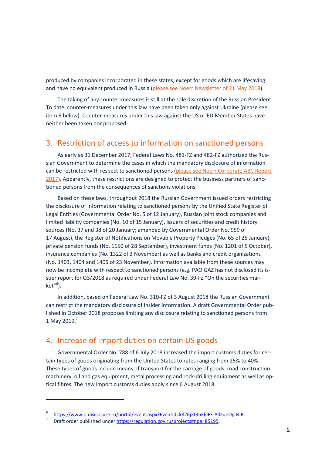produced by companies incorporated in these states, except for goods which are lifesaving and have no equivalent produced in Russia [\(please see Noerr Newsletter of 21 May 2018\)](https://www.noerr.com/en/newsroom/News/russia%E2%80%99s-proposed-response-to-us-sanctions-%E2%80%93-criminal-liability-for-sanctions-compliance-and-counter-sanctions.aspx).

The taking of any counter-measures is still at the sole discretion of the Russian President. To date, counter-measures under this law have been taken only against Ukraine (please see item [6](#page-5-1) below). Counter-measures under this law against the US or EU Member States have neither been taken nor proposed.

# 3. Restriction of access to information on sanctioned persons

As early as 31 December 2017, Federal Laws No. 481-FZ and 482-FZ authorized the Russian Government to determine the cases in which the mandatory disclosure of information can be restricted with respect to sanctioned persons [\(please see Noerr Corporate ABC Report](https://www.noerr.com/en/newsroom/News/russia-corporate-abc-anti-bribery-and-corruption-report-2017.aspx)  [2017](https://www.noerr.com/en/newsroom/News/russia-corporate-abc-anti-bribery-and-corruption-report-2017.aspx)). Apparently, these restrictions are designed to protect the business partners of sanctioned persons from the consequences of sanctions violations.

Based on these laws, throughout 2018 the Russian Government issued orders restricting the disclosure of information relating to sanctioned persons by the Unified State Register of Legal Entities (Governmental Order No. 5 of 12 January), Russian joint stock companies and limited liability companies (No. 10 of 15 January), issuers of securities and credit history sources (No. 37 and 38 of 20 January; amended by Governmental Order No. 959 of 17 August), the Register of Notifications on Movable Property Pledges (No. 65 of 25 January), private pension funds (No. 1150 of 28 September), investment funds (No. 1201 of 5 October), insurance companies (No. 1322 of 3 November) as well as banks and credit organizations (No. 1403, 1404 and 1405 of 23 November). Information available from these sources may now be incomplete with respect to sanctioned persons (e.g. PAO GAZ has not disclosed its issuer report for Q3/2018 as required under Federal Law No. 39-FZ "On the securities mar-ket"<sup>[6](#page-4-0)</sup>).

In addition, based on Federal Law No. 310-FZ of 3 August 2018 the Russian Government can restrict the mandatory disclosure of insider information. A draft Governmental Order published in October 2018 proposes limiting any disclosure relating to sanctioned persons from 1 May 2019. $^7$  $^7$ 

#### 4. Increase of import duties on certain US goods

Governmental Order No. 788 of 6 July 2018 increased the import customs duties for certain types of goods originating from the United States to rates ranging from 25% to 40%. These types of goods include means of transport for the carriage of goods, road construction machinery, oil and gas equipment, metal processing and rock-drilling equipment as well as optical fibres. The new import customs duties apply since 6 August 2018.

<span id="page-4-1"></span><span id="page-4-0"></span><sup>6</sup> https://www.e-disclosure.ru/portal/event.aspx?EventId=k826j2t3hE6lFF-All2qeOg-B-B.

<sup>7</sup> Draft order published under https://regulation.gov.ru/projects#npa=85195.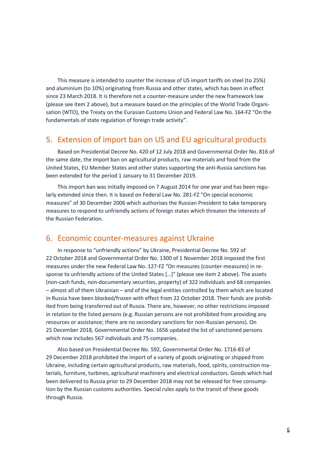This measure is intended to counter the increase of US import tariffs on steel (to 25%) and aluminium (to 10%) originating from Russia and other states, which has been in effect since 23 March 2018. It is therefore not a counter-measure under the new framework law (please see item [2](#page-3-4) above), but a measure based on the principles of the World Trade Organisation (WTO), the Treaty on the Eurasian Customs Union and Federal Law No. 164-FZ "On the fundamentals of state regulation of foreign trade activity".

#### <span id="page-5-0"></span>5. Extension of import ban on US and EU agricultural products

Based on Presidential Decree No. 420 of 12 July 2018 and Governmental Order No. 816 of the same date, the import ban on agricultural products, raw materials and food from the United States, EU Member States and other states supporting the anti-Russia sanctions has been extended for the period 1 January to 31 December 2019.

This import ban was initially imposed on 7 August 2014 for one year and has been regularly extended since then. It is based on Federal Law No. 281-FZ "On special economic measures" of 30 December 2006 which authorises the Russian President to take temporary measures to respond to unfriendly actions of foreign states which threaten the interests of the Russian Federation.

#### <span id="page-5-1"></span>6. Economic counter-measures against Ukraine

In response to "unfriendly actions" by Ukraine, Presidential Decree No. 592 of 22 October 2018 and Governmental Order No. 1300 of 1 November 2018 imposed the first measures under the new Federal Law No. 127-FZ "On measures (counter-measures) in response to unfriendly actions of the United States […]" (please see item [2](#page-3-4) above). The assets (non-cash funds, non-documentary securities, property) of 322 individuals and 68 companies – almost all of them Ukrainian – and of the legal entities controlled by them which are located in Russia have been blocked/frozen with effect from 22 October 2018. Their funds are prohibited from being transferred out of Russia. There are, however, no other restrictions imposed in relation to the listed persons (e.g. Russian persons are not prohibited from providing any resources or assistance; there are no secondary sanctions for non-Russian persons). On 25 December 2018, Governmental Order No. 1656 updated the list of sanctioned persons which now includes 567 individuals and 75 companies.

Also based on Presidential Decree No. 592, Governmental Order No. 1716-83 of 29 December 2018 prohibited the import of a variety of goods originating or shipped from Ukraine, including certain agricultural products, raw materials, food, spirits, construction materials, furniture, turbines, agricultural machinery and electrical conductors. Goods which had been delivered to Russia prior to 29 December 2018 may not be released for free consumption by the Russian customs authorities. Special rules apply to the transit of these goods through Russia.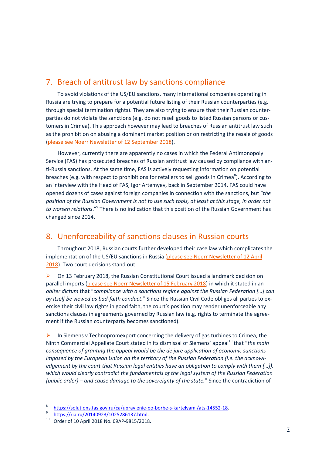### 7. Breach of antitrust law by sanctions compliance

To avoid violations of the US/EU sanctions, many international companies operating in Russia are trying to prepare for a potential future listing of their Russian counterparties (e.g. through special termination rights). They are also trying to ensure that their Russian counterparties do not violate the sanctions (e.g. do not resell goods to listed Russian persons or customers in Crimea). This approach however may lead to breaches of Russian antitrust law such as the prohibition on abusing a dominant market position or on restricting the resale of goods [\(please see Noerr Newsletter of 12 September 2018](https://www.noerr.com/en/newsroom/News/eu-us-sanctions-vs-russian-antitrust-laws.aspx)).

However, currently there are apparently no cases in which the Federal Antimonopoly Service (FAS) has prosecuted breaches of Russian antitrust law caused by compliance with anti-Russia sanctions. At the same time, FAS is actively requesting information on potential breaches (e.g. with respect to prohibitions for retailers to sell goods in Crimea<sup>[8](#page-6-0)</sup>). According to an interview with the Head of FAS, Igor Artemyev, back in September 2014, FAS could have opened dozens of cases against foreign companies in connection with the sanctions, but "*the position of the Russian Government is not to use such tools, at least at this stage, in order not*  to worsen relations."<sup>[9](#page-6-1)</sup> There is no indication that this position of the Russian Government has changed since 2014.

#### 8. Unenforceability of sanctions clauses in Russian courts

Throughout 2018, Russian courts further developed their case law which complicates the implementation of the US/EU sanctions in Russia [\(please see Noerr Newsletter of 12 April](https://www.noerr.com/en/newsroom/News/significant-extension-of-russia-sanctions-%E2%80%93-winding-down-operations-and-contracts-with-listed-entities-for-reasons-of-sanctions-compliance-%E2%80%93-numerous-challenges-under-russian-law.aspx)  [2018\). Two court decisions stand out:](https://www.noerr.com/en/newsroom/News/significant-extension-of-russia-sanctions-%E2%80%93-winding-down-operations-and-contracts-with-listed-entities-for-reasons-of-sanctions-compliance-%E2%80%93-numerous-challenges-under-russian-law.aspx) 

 On 13 February 2018, the Russian Constitutional Court issued a landmark decision on parallel imports [\(please see Noerr Newsletter of 15 February 2018\)](https://www.noerr.com/en/newsroom/News/new-russian-constitutional-court-ruling-parallel-imports-can-no-longer-be-routinely-destroyed.aspx) in which it stated in an *obiter dictum* that "*compliance with a sanctions regime against the Russian Federation […] can by itself be viewed as bad-faith conduct*." Since the Russian Civil Code obliges all parties to exercise their civil law rights in good faith, the court's position may render unenforceable any sanctions clauses in agreements governed by Russian law (e.g. rights to terminate the agreement if the Russian counterparty becomes sanctioned).

 $\triangleright$  In Siemens v Technopromexport concerning the delivery of gas turbines to Crimea, the Ninth Commercial Appellate Court stated in its dismissal of Siemens' appeal<sup>[10](#page-6-2)</sup> that "the main *consequence of granting the appeal would be the de jure application of economic sanctions imposed by the European Union on the territory of the Russian Federation (i.e. the acknowledgement by the court that Russian legal entities have an obligation to comply with them […]), which would clearly contradict the fundamentals of the legal system of the Russian Federation (public order) – and cause damage to the sovereignty of the state.*" Since the contradiction of

<span id="page-6-0"></span><sup>8</sup> https://solutions.fas.gov.ru/ca/upravlenie-po-borbe-s-kartelyami/ats-14552-18.

<span id="page-6-2"></span><span id="page-6-1"></span><sup>9</sup> https://ria.ru/20140923/1025286137.html.

<sup>&</sup>lt;sup>10</sup> Order of 10 April 2018 No. 09AP-9815/2018.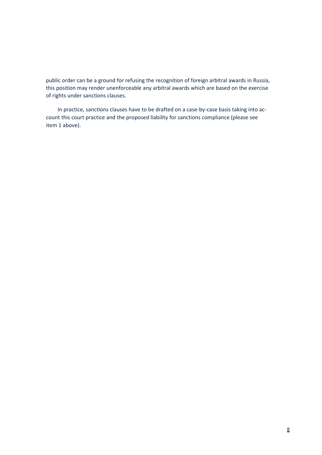public order can be a ground for refusing the recognition of foreign arbitral awards in Russia, this position may render unenforceable any arbitral awards which are based on the exercise of rights under sanctions clauses.

In practice, sanctions clauses have to be drafted on a case-by-case basis taking into account this court practice and the proposed liability for sanctions compliance (please see item [1](#page-3-5) above).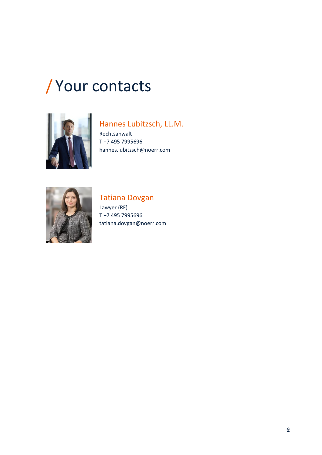# / Your contacts



# Hannes Lubitzsch, LL.M.

Rechtsanwalt T +7 495 7995696 hannes.lubitzsch@noerr.com



## Tatiana Dovgan

Lawyer (RF) T +7 495 7995696 tatiana.dovgan@noerr.com